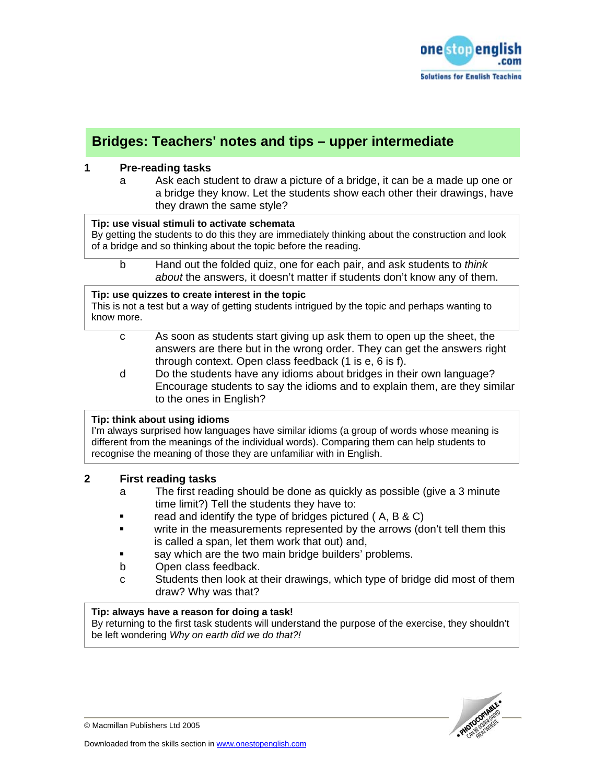

# **Bridges: Teachers' notes and tips – upper intermediate**

## **1 Pre-reading tasks**

a Ask each student to draw a picture of a bridge, it can be a made up one or a bridge they know. Let the students show each other their drawings, have they drawn the same style?

#### **Tip: use visual stimuli to activate schemata**

By getting the students to do this they are immediately thinking about the construction and look of a bridge and so thinking about the topic before the reading.

#### b Hand out the folded quiz, one for each pair, and ask students to *think about* the answers, it doesn't matter if students don't know any of them.

#### **Tip: use quizzes to create interest in the topic**

This is not a test but a way of getting students intrigued by the topic and perhaps wanting to know more.

- c As soon as students start giving up ask them to open up the sheet, the answers are there but in the wrong order. They can get the answers right through context. Open class feedback (1 is e, 6 is f).
- d Do the students have any idioms about bridges in their own language? Encourage students to say the idioms and to explain them, are they similar to the ones in English?

## **Tip: think about using idioms**

I'm always surprised how languages have similar idioms (a group of words whose meaning is different from the meanings of the individual words). Comparing them can help students to recognise the meaning of those they are unfamiliar with in English.

## **2 First reading tasks**

- a The first reading should be done as quickly as possible (give a 3 minute time limit?) Tell the students they have to:
- **F** read and identify the type of bridges pictured (A, B & C)
- write in the measurements represented by the arrows (don't tell them this is called a span, let them work that out) and,
- say which are the two main bridge builders' problems.
- b Open class feedback.
- c Students then look at their drawings, which type of bridge did most of them draw? Why was that?

## **Tip: always have a reason for doing a task!**

By returning to the first task students will understand the purpose of the exercise, they shouldn't be left wondering *Why on earth did we do that?!* 



© Macmillan Publishers Ltd 2005